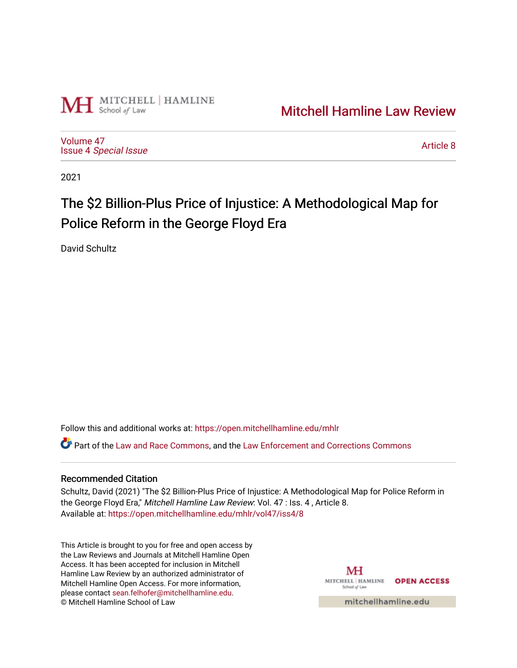

# [Mitchell Hamline Law Review](https://open.mitchellhamline.edu/mhlr)

[Volume 47](https://open.mitchellhamline.edu/mhlr/vol47) Issue 4 [Special Issue](https://open.mitchellhamline.edu/mhlr/vol47/iss4)

[Article 8](https://open.mitchellhamline.edu/mhlr/vol47/iss4/8) 

2021

# The \$2 Billion-Plus Price of Injustice: A Methodological Map for Police Reform in the George Floyd Era

David Schultz

Follow this and additional works at: [https://open.mitchellhamline.edu/mhlr](https://open.mitchellhamline.edu/mhlr?utm_source=open.mitchellhamline.edu%2Fmhlr%2Fvol47%2Fiss4%2F8&utm_medium=PDF&utm_campaign=PDFCoverPages) 

Part of the [Law and Race Commons,](http://network.bepress.com/hgg/discipline/1300?utm_source=open.mitchellhamline.edu%2Fmhlr%2Fvol47%2Fiss4%2F8&utm_medium=PDF&utm_campaign=PDFCoverPages) and the [Law Enforcement and Corrections Commons](http://network.bepress.com/hgg/discipline/854?utm_source=open.mitchellhamline.edu%2Fmhlr%2Fvol47%2Fiss4%2F8&utm_medium=PDF&utm_campaign=PDFCoverPages)

# Recommended Citation

Schultz, David (2021) "The \$2 Billion-Plus Price of Injustice: A Methodological Map for Police Reform in the George Floyd Era," Mitchell Hamline Law Review: Vol. 47 : Iss. 4, Article 8. Available at: [https://open.mitchellhamline.edu/mhlr/vol47/iss4/8](https://open.mitchellhamline.edu/mhlr/vol47/iss4/8?utm_source=open.mitchellhamline.edu%2Fmhlr%2Fvol47%2Fiss4%2F8&utm_medium=PDF&utm_campaign=PDFCoverPages) 

This Article is brought to you for free and open access by the Law Reviews and Journals at Mitchell Hamline Open Access. It has been accepted for inclusion in Mitchell Hamline Law Review by an authorized administrator of Mitchell Hamline Open Access. For more information, please contact [sean.felhofer@mitchellhamline.edu.](mailto:sean.felhofer@mitchellhamline.edu) © Mitchell Hamline School of Law

MH MITCHELL | HAMLINE OPEN ACCESS School of Law

mitchellhamline.edu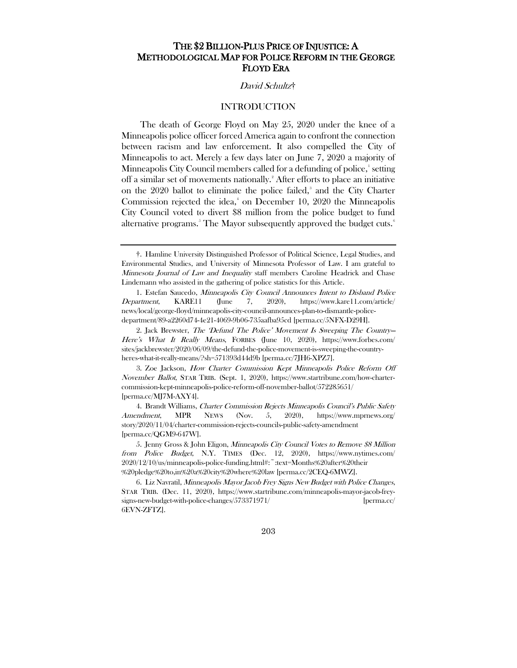# THE \$2 BILLION-PLUS PRICE OF INJUSTICE: A METHODOLOGICAL MAP FOR POLICE REFORM IN THE GEORGE FLOYD ERA

## David Schultz[†](#page-1-0)

# INTRODUCTION

The death of George Floyd on May 25, 2020 under the knee of a Minneapolis police officer forced America again to confront the connection between racism and law enforcement. It also compelled the City of Minneapolis to act. Merely a few days later on June 7, 2020 a majority of Minneapolis City Council members called for a defunding of police,' setting off a similar set of movements nationally.<sup>[2](#page-1-2)</sup> After efforts to place an initiative on the 2020 ballot to eliminate the police failed,<sup>[3](#page-1-3)</sup> and the City Charter Commission rejected the idea,<sup>[4](#page-1-4)</sup> on December 10, 2020 the Minneapolis City Council voted to divert \$8 million from the police budget to fund alternative programs. $^{\circ}$  The Mayor subsequently approved the budget cuts. $^{\circ}$ 

203

<span id="page-1-0"></span><sup>†.</sup> Hamline University Distinguished Professor of Political Science, Legal Studies, and Environmental Studies, and University of Minnesota Professor of Law. I am grateful to Minnesota Journal of Law and Inequality staff members Caroline Headrick and Chase Lindemann who assisted in the gathering of police statistics for this Article.

<span id="page-1-1"></span><sup>1.</sup> Estefan Saucedo, Minneapolis City Council Announces Intent to Disband Police Department, KARE11 (June 7, 2020), https://www.kare11.com/article/ news/local/george-floyd/minneapolis-city-council-announces-plan-to-dismantle-policedepartment/89-a2260d74-4e21-4069-9b06-735aafba95cd [perma.cc/5NFX-D29H].

<span id="page-1-2"></span><sup>2.</sup> Jack Brewster, The 'Defund The Police' Movement Is Sweeping The Country— Here's What It Really Means, FORBES (June 10, 2020), https://www.forbes.com/ sites/jackbrewster/2020/06/09/the-defund-the-police-movement-is-sweeping-the-countryheres-what-it-really-means/?sh=571393d44d9b [perma.cc/7JH6-XPZ7].

<span id="page-1-3"></span><sup>3.</sup> Zoe Jackson, How Charter Commission Kept Minneapolis Police Reform Off November Ballot, STAR TRIB. (Sept. 1, 2020), https://www.startribune.com/how-chartercommission-kept-minneapolis-police-reform-off-november-ballot/572285651/ [perma.cc/MJ7M-AXY4].

<span id="page-1-4"></span><sup>4.</sup> Brandt Williams, Charter Commission Rejects Minneapolis Council's Public Safety Amendment, MPR NEWS (Nov. 5, 2020), https://www.mprnews.org/ story/2020/11/04/charter-commission-rejects-councils-public-safety-amendment [perma.cc/QGM9-647W].

<span id="page-1-5"></span><sup>5.</sup> Jenny Gross & John Eligon, Minneapolis City Council Votes to Remove \$8 Million from Police Budget, N.Y. TIMES (Dec. 12, 2020), https://www.nytimes.com/ 2020/12/10/us/minneapolis-police-funding.html#:~:text=Months%20after%20their %20pledge%20to,in%20a%20city%20where%20law [perma.cc/2CEQ-6MWZ].

<span id="page-1-6"></span><sup>6.</sup> Liz Navratil, Minneapolis Mayor Jacob Frey Signs New Budget with Police Changes, STAR TRIB. (Dec. 11, 2020), https://www.startribune.com/minneapolis-mayor-jacob-freysigns-new-budget-with-police-changes/573371971/ [perma.cc/ 6EVN-ZFTZ].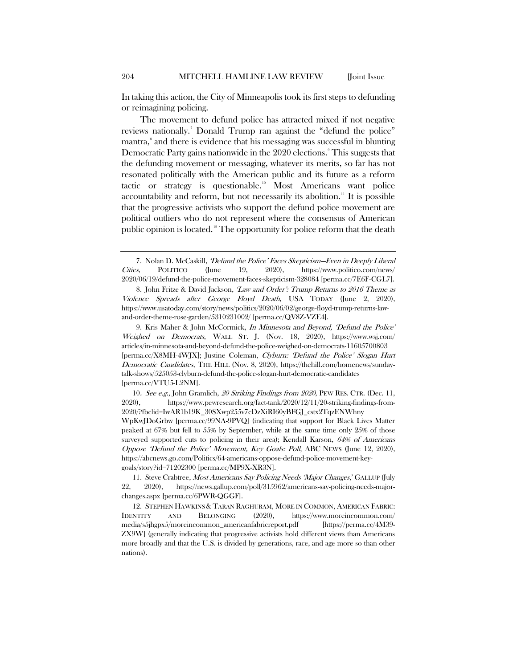In taking this action, the City of Minneapolis took its first steps to defunding or reimagining policing.

The movement to defund police has attracted mixed if not negative reviews nationally.<sup>[7](#page-2-0)</sup> Donald Trump ran against the "defund the police" mantra,<sup>[8](#page-2-1)</sup> and there is evidence that his messaging was successful in blunting Democratic Party gains nationwide in the 2020 elections. This suggests that the defunding movement or messaging, whatever its merits, so far has not resonated politically with the American public and its future as a reform tactic or strategy is questionable.<sup>10</sup> Most Americans want police accountability and reform, but not necessarily its abolition.<sup>[11](#page-2-4)</sup> It is possible that the progressive activists who support the defund police movement are political outliers who do not represent where the consensus of American public opinion is located.<sup>[12](#page-2-5)</sup> The opportunity for police reform that the death

<span id="page-2-0"></span><sup>7.</sup> Nolan D. McCaskill, 'Defund the Police' Faces Skepticism—Even in Deeply Liberal Cities, POLITICO (June 19, 2020), https://www.politico.com/news/ 2020/06/19/defund-the-police-movement-faces-skepticism-328084 [perma.cc/7E6F-CGL7].

<span id="page-2-1"></span><sup>8.</sup> John Fritze & David Jackson, 'Law and Order': Trump Returns to 2016 Theme as Violence Spreads after George Floyd Death, USA TODAY (June 2, 2020), https://www.usatoday.com/story/news/politics/2020/06/02/george-floyd-trump-returns-lawand-order-theme-rose-garden/5310231002/ [perma.cc/QV8Z-VZE4].

<span id="page-2-2"></span><sup>9.</sup> Kris Maher & John McCormick, In Minnesota and Beyond, 'Defund the Police' Weighed on Democrats, WALL ST. J. (Nov. 18, 2020), https://www.wsj.com/ articles/in-minnesota-and-beyond-defund-the-police-weighed-on-democrats-11605700803 [perma.cc/X8MH-4WJX]; Justine Coleman, Clyburn: 'Defund the Police' Slogan Hurt Democratic Candidates, THE HILL (Nov. 8, 2020), https://thehill.com/homenews/sundaytalk-shows/525053-clyburn-defund-the-police-slogan-hurt-democratic-candidates [perma.cc/VTU5-L2NM].

<span id="page-2-3"></span><sup>10.</sup> See e.g., John Gramlich, 20 Striking Findings from 2020, PEW RES. CTR. (Dec. 11, 2020), https://www.pewresearch.org/fact-tank/2020/12/11/20-striking-findings-from-2020/?fbclid=IwAR1b19K\_30SXwp255v7cDzXiRI60yBFGJ\_cstx2TqzENWhny WpKwJDoGrbw [perma.cc/99NA-9PVQ] (indicating that support for Black Lives Matter peaked at 67% but fell to 55% by September, while at the same time only 25% of those surveyed supported cuts to policing in their area); Kendall Karson, 64% of Americans Oppose 'Defund the Police' Movement, Key Goals: Poll, ABC NEWS (June 12, 2020), https://abcnews.go.com/Politics/64-americans-oppose-defund-police-movement-keygoals/story?id=71202300 [perma.cc/MP9X-XR3N].

<span id="page-2-4"></span><sup>11.</sup> Steve Crabtree, Most Americans Say Policing Needs 'Major Changes,' GALLUP (July 22, 2020), https://news.gallup.com/poll/315962/americans-say-policing-needs-majorchanges.aspx [perma.cc/6PWR-QGGF].

<span id="page-2-5"></span><sup>12.</sup> STEPHEN HAWKINS & TARAN RAGHURAM, MORE IN COMMON, AMERICAN FABRIC: IDENTITY AND BELONGING (2020), https://www.moreincommon.com/ media/s5jhgpx5/moreincommon\_americanfabricreport.pdf [https://perma.cc/4M39- ZX9W] (generally indicating that progressive activists hold different views than Americans more broadly and that the U.S. is divided by generations, race, and age more so than other nations).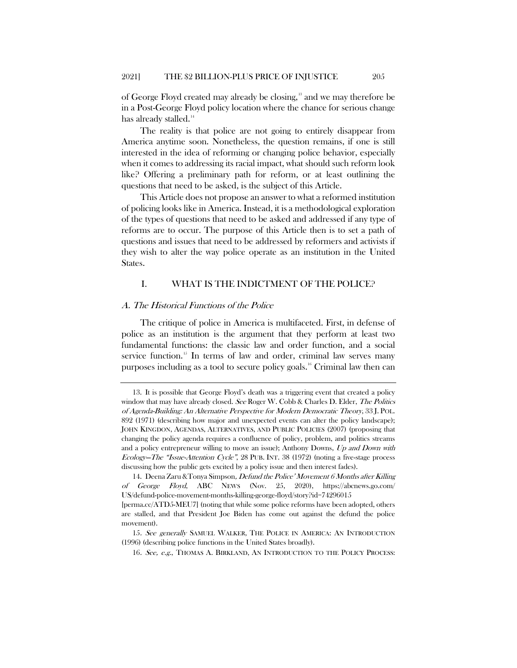of George Floyd created may already be closing, [13](#page-3-0) and we may therefore be in a Post-George Floyd policy location where the chance for serious change has already stalled.<sup>[14](#page-3-1)</sup>

The reality is that police are not going to entirely disappear from America anytime soon. Nonetheless, the question remains, if one is still interested in the idea of reforming or changing police behavior, especially when it comes to addressing its racial impact, what should such reform look like? Offering a preliminary path for reform, or at least outlining the questions that need to be asked, is the subject of this Article.

This Article does not propose an answer to what a reformed institution of policing looks like in America. Instead, it is a methodological exploration of the types of questions that need to be asked and addressed if any type of reforms are to occur. The purpose of this Article then is to set a path of questions and issues that need to be addressed by reformers and activists if they wish to alter the way police operate as an institution in the United States.

#### <span id="page-3-4"></span>I. WHAT IS THE INDICTMENT OF THE POLICE?

#### A. The Historical Functions of the Police

<span id="page-3-5"></span>The critique of police in America is multifaceted. First, in defense of police as an institution is the argument that they perform at least two fundamental functions: the classic law and order function, and a social service function.<sup>[15](#page-3-2)</sup> In terms of law and order, criminal law serves many purposes including as a tool to secure policy goals.[16](#page-3-3) Criminal law then can

<span id="page-3-0"></span><sup>13.</sup> It is possible that George Floyd's death was a triggering event that created a policy window that may have already closed. See Roger W. Cobb & Charles D. Elder, The Politics of Agenda-Building: An Alternative Perspective for Modern Democratic Theory, 33 J. POL. 892 (1971) (describing how major and unexpected events can alter the policy landscape); JOHN KINGDON, AGENDAS, ALTERNATIVES, AND PUBLIC POLICIES (2007) (proposing that changing the policy agenda requires a confluence of policy, problem, and politics streams and a policy entrepreneur willing to move an issue); Anthony Downs, Up and Down with Ecology—The "Issue-Attention Cycle", 28 PUB. INT. 38 (1972) (noting a five-stage process discussing how the public gets excited by a policy issue and then interest fades).

<span id="page-3-1"></span><sup>14.</sup> Deena Zaru & Tonya Simpson, *Defund the Police' Movement 6 Months after Killing* of George Floyd, ABC NEWS (Nov. 25, 2020), https://abcnews.go.com/ US/defund-police-movement-months-killing-george-floyd/story?id=74296015

<sup>[</sup>perma.cc/ATD5-MEU7] (noting that while some police reforms have been adopted, others are stalled, and that President Joe Biden has come out against the defund the police movement).

<span id="page-3-3"></span><span id="page-3-2"></span><sup>15</sup>. See generally SAMUEL WALKER, THE POLICE IN AMERICA: AN INTRODUCTION (1996) (describing police functions in the United States broadly).

<sup>16.</sup> See, e.g., THOMAS A. BIRKLAND, AN INTRODUCTION TO THE POLICY PROCESS: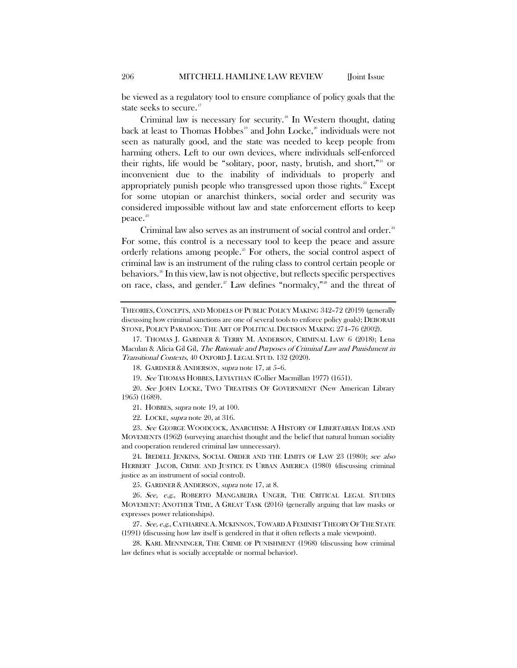<span id="page-4-0"></span>be viewed as a regulatory tool to ensure compliance of policy goals that the state seeks to secure.<sup>[17](#page-4-3)</sup>

<span id="page-4-2"></span><span id="page-4-1"></span>Criminal law is necessary for security.<sup>[18](#page-4-4)</sup> In Western thought, dating back at least to Thomas Hobbes<sup>[19](#page-4-5)</sup> and John Locke,<sup>[20](#page-4-6)</sup> individuals were not seen as naturally good, and the state was needed to keep people from harming others. Left to our own devices, where individuals self-enforced their rights, life would be "solitary, poor, nasty, brutish, and short,"<sup>[21](#page-4-7)</sup> or inconvenient due to the inability of individuals to properly and appropriately punish people who transgressed upon those rights. $22$  Except for some utopian or anarchist thinkers, social order and security was considered impossible without law and state enforcement efforts to keep peace.<sup>[23](#page-4-9)</sup>

Criminal law also serves as an instrument of social control and order.<sup>[24](#page-4-10)</sup> For some, this control is a necessary tool to keep the peace and assure orderly relations among people.<sup>[25](#page-4-11)</sup> For others, the social control aspect of criminal law is an instrument of the ruling class to control certain people or behaviors.<sup>[26](#page-4-12)</sup> In this view, law is not objective, but reflects specific perspectives on race, class, and gender.<sup>[27](#page-4-13)</sup> Law defines "normalcy,"<sup>[28](#page-4-14)</sup> and the threat of

18. GARDNER & ANDERSON, supra note [17,](#page-4-0) at 5–6.

19. See THOMAS HOBBES, LEVIATHAN (Collier Macmillan 1977) (1651).

<span id="page-4-7"></span><span id="page-4-6"></span><span id="page-4-5"></span><span id="page-4-4"></span>20. See JOHN LOCKE, TWO TREATISES OF GOVERNMENT (New American Library 1965) (1689).

21. HOBBES, supra not[e 19,](#page-4-1) at 100.

22. LOCKE, supra not[e 20,](#page-4-2) at 316.

<span id="page-4-9"></span><span id="page-4-8"></span>23. See GEORGE WOODCOCK, ANARCHISM: A HISTORY OF LIBERTARIAN IDEAS AND MOVEMENTS (1962) (surveying anarchist thought and the belief that natural human sociality and cooperation rendered criminal law unnecessary).

<span id="page-4-10"></span>24. IREDELL JENKINS, SOCIAL ORDER AND THE LIMITS OF LAW 23 (1980); see also HERBERT JACOB, CRIME AND JUSTICE IN URBAN AMERICA (1980) (discussing criminal justice as an instrument of social control).

25. GARDNER & ANDERSON, supra note [17,](#page-4-0) at 8.

<span id="page-4-12"></span><span id="page-4-11"></span>26. See, e.g., ROBERTO MANGABEIRA UNGER, THE CRITICAL LEGAL STUDIES MOVEMENT: ANOTHER TIME, A GREAT TASK (2016) (generally arguing that law masks or expresses power relationships).

<span id="page-4-13"></span>27. See, e.g., CATHARINE A. MCKINNON, TOWARD A FEMINIST THEORY OF THE STATE (1991) (discussing how law itself is gendered in that it often reflects a male viewpoint).

<span id="page-4-14"></span>28. KARL MENNINGER, THE CRIME OF PUNISHMENT (1968) (discussing how criminal law defines what is socially acceptable or normal behavior).

THEORIES, CONCEPTS, AND MODELS OF PUBLIC POLICY MAKING 342–72 (2019) (generally discussing how criminal sanctions are one of several tools to enforce policy goals); DEBORAH STONE, POLICY PARADOX: THE ART OF POLITICAL DECISION MAKING 274–76 (2002).

<span id="page-4-3"></span><sup>17.</sup> THOMAS J. GARDNER & TERRY M. ANDERSON, CRIMINAL LAW 6 (2018); Lena Maculan & Alicia Gil Gil, The Rationale and Purposes of Criminal Law and Punishment in Transitional Contexts, 40 OXFORD J. LEGAL STUD. 132 (2020).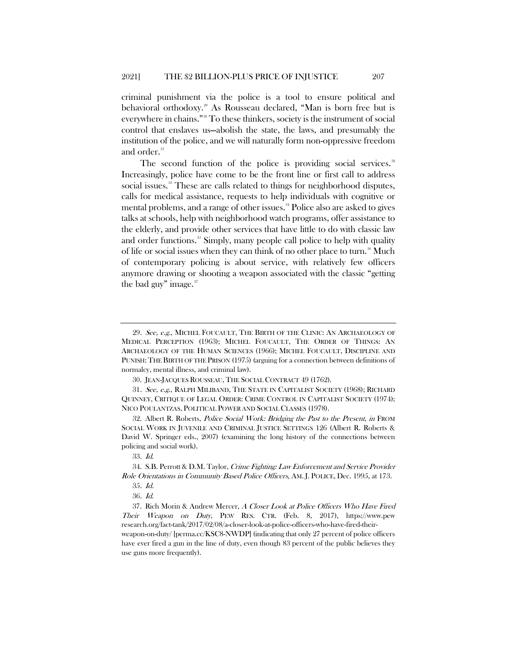criminal punishment via the police is a tool to ensure political and behavioral orthodoxy.<sup>[29](#page-5-0)</sup> As Rousseau declared, "Man is born free but is everywhere in chains."[30](#page-5-1) To these thinkers, society is the instrument of social control that enslaves us—abolish the state, the laws, and presumably the institution of the police, and we will naturally form non-oppressive freedom and order.<sup>[31](#page-5-2)</sup>

<span id="page-5-9"></span>The second function of the police is providing social services.<sup>[32](#page-5-3)</sup> Increasingly, police have come to be the front line or first call to address social issues.<sup>38</sup> These are calls related to things for neighborhood disputes, calls for medical assistance, requests to help individuals with cognitive or mental problems, and a range of other issues.<sup>[34](#page-5-5)</sup> Police also are asked to gives talks at schools, help with neighborhood watch programs, offer assistance to the elderly, and provide other services that have little to do with classic law and order functions.<sup>[35](#page-5-6)</sup> Simply, many people call police to help with quality of life or social issues when they can think of no other place to turn.<sup>[36](#page-5-7)</sup> Much of contemporary policing is about service, with relatively few officers anymore drawing or shooting a weapon associated with the classic "getting the bad guy" image. $37$ 

<span id="page-5-2"></span><span id="page-5-1"></span>31. See, e.g., RALPH MILIBAND, THE STATE IN CAPITALIST SOCIETY (1968); RICHARD QUINNEY, CRITIQUE OF LEGAL ORDER: CRIME CONTROL IN CAPITALIST SOCIETY (1974); NICO POULANTZAS, POLITICAL POWER AND SOCIAL CLASSES (1978).

<span id="page-5-3"></span>32. Albert R. Roberts, Police Social Work: Bridging the Past to the Present, in FROM SOCIAL WORK IN JUVENILE AND CRIMINAL JUSTICE SETTINGS 126 (Albert R. Roberts & David W. Springer eds., 2007) (examining the long history of the connections between policing and social work).

33. Id.

<span id="page-5-6"></span><span id="page-5-5"></span><span id="page-5-4"></span>34. S.B. Perrott & D.M. Taylor, Crime Fighting: Law Enforcement and Service Provider Role Orientations in Community Based Police Officers, AM. J. POLICE, Dec. 1995, at 173.

<span id="page-5-8"></span><span id="page-5-7"></span>37. Rich Morin & Andrew Mercer, A Closer Look at Police Officers Who Have Fired Their Weapon on Duty, PEW RES. CTR. (Feb. 8, 2017), https://www.pew research.org/fact-tank/2017/02/08/a-closer-look-at-police-officers-who-have-fired-theirweapon-on-duty/ [perma.cc/KSC8-NWDP] (indicating that only 27 percent of police officers have ever fired a gun in the line of duty, even though 83 percent of the public believes they use guns more frequently).

<span id="page-5-0"></span><sup>29.</sup> See, e.g., MICHEL FOUCAULT, THE BIRTH OF THE CLINIC: AN ARCHAEOLOGY OF MEDICAL PERCEPTION (1963); MICHEL FOUCAULT, THE ORDER OF THINGS: AN ARCHAEOLOGY OF THE HUMAN SCIENCES (1966); MICHEL FOUCAULT, DISCIPLINE AND PUNISH: THE BIRTH OF THE PRISON (1975) (arguing for a connection between definitions of normalcy, mental illness, and criminal law).

<sup>30.</sup> JEAN-JACQUES ROUSSEAU, THE SOCIAL CONTRACT 49 (1762).

<sup>35</sup>. Id.

<sup>36</sup>. Id.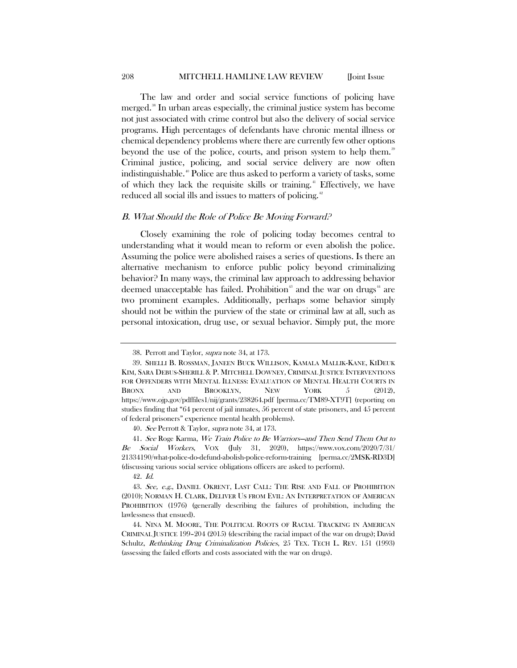The law and order and social service functions of policing have merged.<sup>[38](#page-6-0)</sup> In urban areas especially, the criminal justice system has become not just associated with crime control but also the delivery of social service programs. High percentages of defendants have chronic mental illness or chemical dependency problems where there are currently few other options beyond the use of the police, courts, and prison system to help them.<sup>[39](#page-6-1)</sup> Criminal justice, policing, and social service delivery are now often indistinguishable.<sup>[40](#page-6-2)</sup> Police are thus asked to perform a variety of tasks, some of which they lack the requisite skills or training. [41](#page-6-3) Effectively, we have reduced all social ills and issues to matters of policing.<sup>[42](#page-6-4)</sup>

#### B. What Should the Role of Police Be Moving Forward?

Closely examining the role of policing today becomes central to understanding what it would mean to reform or even abolish the police. Assuming the police were abolished raises a series of questions. Is there an alternative mechanism to enforce public policy beyond criminalizing behavior? In many ways, the criminal law approach to addressing behavior deemed unacceptable has failed. Prohibition<sup>[43](#page-6-5)</sup> and the war on drugs<sup>[44](#page-6-6)</sup> are two prominent examples. Additionally, perhaps some behavior simply should not be within the purview of the state or criminal law at all, such as personal intoxication, drug use, or sexual behavior. Simply put, the more

40. See Perrott & Taylor, supra not[e 34,](#page-5-9) at 173.

<span id="page-6-3"></span><span id="page-6-2"></span>41. See Roge Karma, We Train Police to Be Warriors—and Then Send Them Out to Be Social Workers, VOX (July 31, 2020), https://www.vox.com/2020/7/31/ 21334190/what-police-do-defund-abolish-police-reform-training [perma.cc/2MSK-RD3D] (discussing various social service obligations officers are asked to perform).

42. Id.

<sup>38.</sup> Perrott and Taylor, supra not[e 34,](#page-5-9) at 173.

<span id="page-6-1"></span><span id="page-6-0"></span><sup>39.</sup> SHELLI B. ROSSMAN, JANEEN BUCK WILLISON, KAMALA MALLIK-KANE, KIDEUK KIM, SARA DEBUS-SHERILL & P. MITCHELL DOWNEY, CRIMINAL JUSTICE INTERVENTIONS FOR OFFENDERS WITH MENTAL ILLNESS: EVALUATION OF MENTAL HEALTH COURTS IN BRONX AND BROOKLYN, NEW YORK 5 (2012), https://www.ojp.gov/pdffiles1/nij/grants/238264.pdf [perma.cc/TM89-XT9T] (reporting on studies finding that "64 percent of jail inmates, 56 percent of state prisoners, and 45 percent of federal prisoners" experience mental health problems).

<span id="page-6-5"></span><span id="page-6-4"></span><sup>43.</sup> See, e.g., DANIEL OKRENT, LAST CALL: THE RISE AND FALL OF PROHIBITION (2010); NORMAN H. CLARK, DELIVER US FROM EVIL: AN INTERPRETATION OF AMERICAN PROHIBITION (1976) (generally describing the failures of prohibition, including the lawlessness that ensued).

<span id="page-6-6"></span><sup>44.</sup> NINA M. MOORE, THE POLITICAL ROOTS OF RACIAL TRACKING IN AMERICAN CRIMINAL JUSTICE 199–204 (2015) (describing the racial impact of the war on drugs); David Schultz, Rethinking Drug Criminalization Policies, 25 TEX. TECH L. REV. 151 (1993) (assessing the failed efforts and costs associated with the war on drugs).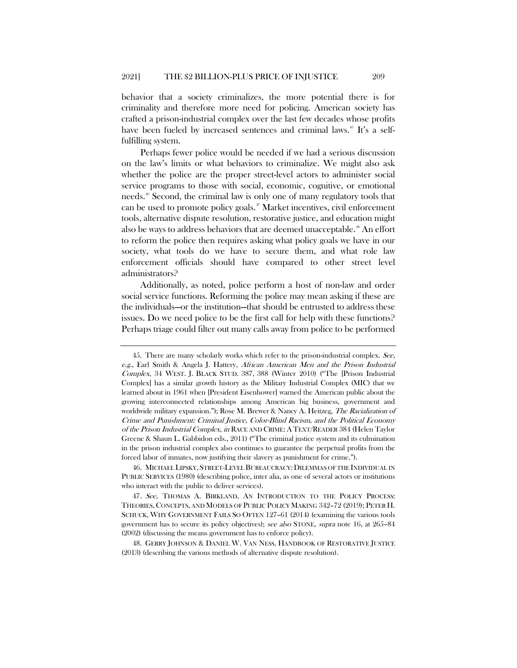behavior that a society criminalizes, the more potential there is for criminality and therefore more need for policing. American society has crafted a prison-industrial complex over the last few decades whose profits have been fueled by increased sentences and criminal laws.<sup>45</sup> It's a selffulfilling system.

Perhaps fewer police would be needed if we had a serious discussion on the law's limits or what behaviors to criminalize. We might also ask whether the police are the proper street-level actors to administer social service programs to those with social, economic, cognitive, or emotional needs.<sup>46</sup> Second, the criminal law is only one of many regulatory tools that can be used to promote policy goals.<sup>[47](#page-7-2)</sup> Market incentives, civil enforcement tools, alternative dispute resolution, restorative justice, and education might also be ways to address behaviors that are deemed unacceptable.[48](#page-7-3) An effort to reform the police then requires asking what policy goals we have in our society, what tools do we have to secure them, and what role law enforcement officials should have compared to other street level administrators?

Additionally, as noted, police perform a host of non-law and order social service functions. Reforming the police may mean asking if these are the individuals—or the institution—that should be entrusted to address these issues. Do we need police to be the first call for help with these functions? Perhaps triage could filter out many calls away from police to be performed

<span id="page-7-0"></span><sup>45.</sup> There are many scholarly works which refer to the prison-industrial complex. See, e.g., Earl Smith & Angela J. Hattery, African American Men and the Prison Industrial Complex, 34 WEST. J. BLACK STUD. 387, 388 (Winter 2010) ("The [Prison Industrial Complex] has a similar growth history as the Military Industrial Complex (MIC) that we learned about in 1961 when [President Eisenhower] warned the American public about the growing interconnected relationships among American big business, government and worldwide military expansion."); Rose M. Brewer & Nancy A. Heitzeg, *The Racialization of* Crime and Punishment: Criminal Justice, Color-Blind Racism, and the Political Economy of the Prison Industrial Complex, in RACE AND CRIME: ATEXT/READER 384 (Helen Taylor Greene & Shaun L. Gabbidon eds., 2011) ("The criminal justice system and its culmination in the prison industrial complex also continues to guarantee the perpetual profits from the forced labor of inmates, now justifying their slavery as punishment for crime.").

<span id="page-7-1"></span><sup>46.</sup> MICHAEL LIPSKY, STREET-LEVEL BUREAUCRACY:DILEMMAS OF THE INDIVIDUAL IN PUBLIC SERVICES (1980) (describing police, inter alia, as one of several actors or institutions who interact with the public to deliver services).

<span id="page-7-2"></span><sup>47</sup>. See, THOMAS A. BIRKLAND, AN INTRODUCTION TO THE POLICY PROCESS: THEORIES, CONCEPTS, AND MODELS OF PUBLIC POLICY MAKING 342–72 (2019); PETER H. SCHUCK, WHY GOVERNMENT FAILS SO OFTEN 127–61 (2014) (examining the various tools government has to secure its policy objectives); see also STONE, supra note [16,](#page-3-4) at 265–84 (2002) (discussing the means government has to enforce policy).

<span id="page-7-3"></span><sup>48.</sup> GERRY JOHNSON & DANIEL W. VAN NESS, HANDBOOK OF RESTORATIVE JUSTICE (2013) (describing the various methods of alternative dispute resolution).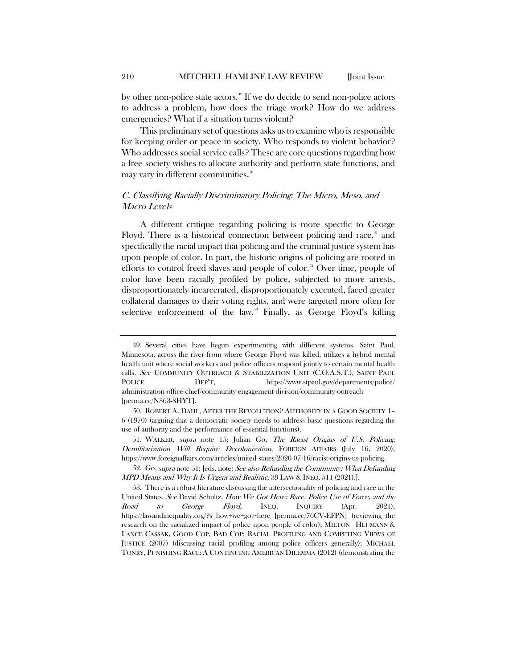by other non-police state actors.<sup>[49](#page-8-1)</sup> If we do decide to send non-police actors to address a problem, how does the triage work? How do we address emergencies? What if a situation turns violent?

This preliminary set of questions asks us to examine who is responsible for keeping order or peace in society. Who responds to violent behavior? Who addresses social service calls? These are core questions regarding how a free society wishes to allocate authority and perform state functions, and may vary in different communities.<sup>[50](#page-8-2)</sup>

# C. Classifying Racially Discriminatory Policing: The Micro, Meso, and Macro Levels

<span id="page-8-0"></span>A different critique regarding policing is more specific to George Floyd. There is a historical connection between policing and race,<sup>[51](#page-8-3)</sup> and specifically the racial impact that policing and the criminal justice system has upon people of color. In part, the historic origins of policing are rooted in efforts to control freed slaves and people of color.<sup>[52](#page-8-4)</sup> Over time, people of color have been racially profiled by police, subjected to more arrests, disproportionately incarcerated, disproportionately executed, faced greater collateral damages to their voting rights, and were targeted more often for selective enforcement of the law.<sup>33</sup> Finally, as George Floyd's killing

<span id="page-8-3"></span>51. WALKER, supra note [15;](#page-3-5) Julian Go, The Racist Origins of U.S. Policing: Demilitarization Will Require Decolonization, FOREIGN AFFAIRS (July 16, 2020), https://www.foreignaffairs.com/articles/united-states/2020-07-16/racist-origins-us-policing.

<span id="page-8-4"></span>52. Go, supra not[e 51;](#page-8-0) [eds. note: See also Refunding the Community: What Defunding MPD Means and Why It Is Urgent and Realistic, 39 LAW & INEQ. 511 (2021).].

<span id="page-8-1"></span><sup>49.</sup> Several cities have begun experimenting with different systems. Saint Paul, Minnesota, across the river from where George Floyd was killed, utilizes a hybrid mental health unit where social workers and police officers respond jointly to certain mental health calls. See COMMUNITY OUTREACH & STABILIZATION UNIT (C.O.A.S.T.), SAINT PAUL POLICE DEP'T, https://www.stpaul.gov/departments/police/ administration-office-chief/community-engagement-division/community-outreach [perma.cc/N363-8HYT].

<span id="page-8-2"></span><sup>50.</sup> ROBERT A. DAHL, AFTER THE REVOLUTION? AUTHORITY IN A GOOD SOCIETY 1– 6 (1970) (arguing that a democratic society needs to address basic questions regarding the use of authority and the performance of essential functions).

<span id="page-8-5"></span><sup>53.</sup> There is a robust literature discussing the intersectionality of policing and race in the United States. See David Schultz, How We Got Here: Race, Police Use of Force, and the Road to George Floyd, INEQ. INQUIRY (Apr. 2021), https://lawandinequality.org/?s=how+we+got+here [perma.cc/76CV-EFPN] (reviewing the research on the racialized impact of police upon people of color); MILTON HEUMANN & LANCE CASSAK, GOOD COP, BAD COP: RACIAL PROFILING AND COMPETING VIEWS OF JUSTICE (2007) (discussing racial profiling among police officers generally); MICHAEL TONRY, PUNISHING RACE: A CONTINUING AMERICAN DILEMMA (2012) (demonstrating the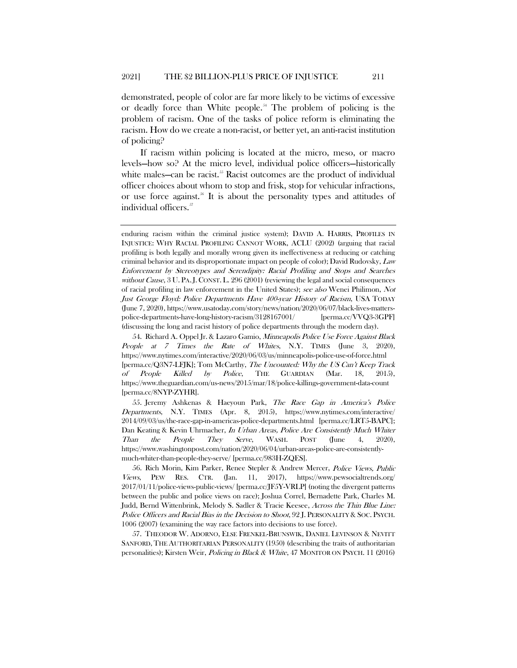<span id="page-9-4"></span>demonstrated, people of color are far more likely to be victims of excessive or deadly force than White people.[54](#page-9-0) The problem of policing is the problem of racism. One of the tasks of police reform is eliminating the racism. How do we create a non-racist, or better yet, an anti-racist institution of policing?

If racism within policing is located at the micro, meso, or macro levels—how so? At the micro level, individual police officers—historically white males—can be racist.<sup>[55](#page-9-1)</sup> Racist outcomes are the product of individual officer choices about whom to stop and frisk, stop for vehicular infractions, or use force against.<sup>[56](#page-9-2)</sup> It is about the personality types and attitudes of individual officers.<sup>57</sup>

enduring racism within the criminal justice system); DAVID A. HARRIS, PROFILES IN INJUSTICE: WHY RACIAL PROFILING CANNOT WORK, ACLU (2002) (arguing that racial profiling is both legally and morally wrong given its ineffectiveness at reducing or catching criminal behavior and its disproportionate impact on people of color); David Rudovsky, Law Enforcement by Stereotypes and Serendipity: Racial Profiling and Stops and Searches without Cause, 3 U. PA.J. CONST. L. 296 (2001) (reviewing the legal and social consequences of racial profiling in law enforcement in the United States); see also Wenei Philimon, Not Just George Floyd: Police Departments Have 400-year History of Racism, USA TODAY (June 7, 2020), https://www.usatoday.com/story/news/nation/2020/06/07/black-lives-matterspolice-departments-have-long-history-racism/3128167001/ [perma.cc/VVQ3-3GPF] (discussing the long and racist history of police departments through the modern day).

<span id="page-9-0"></span><sup>54.</sup> Richard A. Oppel Jr. & Lazaro Gamio, Minneapolis Police Use Force Against Black People at 7 Times the Rate of Whites, N.Y. TIMES (June 3, 2020), https://www.nytimes.com/interactive/2020/06/03/us/minneapolis-police-use-of-force.html [perma.cc/Q3N7-LFJK]; Tom McCarthy, The Uncounted: Why the US Can't Keep Track of People Killed by Police, THE GUARDIAN (Mar. 18, 2015), https://www.theguardian.com/us-news/2015/mar/18/police-killings-government-data-count [perma.cc/8NYP-ZYHR].

<span id="page-9-1"></span><sup>55.</sup> Jeremy Ashkenas & Haeyoun Park, The Race Gap in America's Police Departments, N.Y. TIMES (Apr. 8, 2015), https://www.nytimes.com/interactive/ 2014/09/03/us/the-race-gap-in-americas-police-departments.html [perma.cc/LRT5-BAPC]; Dan Keating & Kevin Uhrmacher, In Urban Areas, Police Are Consistently Much Whiter Than the People They Serve, WASH. POST (June 4, 2020), https://www.washingtonpost.com/nation/2020/06/04/urban-areas-police-are-consistentlymuch-whiter-than-people-they-serve/ [perma.cc/983H-ZQES].

<span id="page-9-2"></span><sup>56.</sup> Rich Morin, Kim Parker, Renee Stepler & Andrew Mercer, Police Views, Public Views, PEW RES. CTR. (Jan. 11, 2017), https://www.pewsocialtrends.org/ 2017/01/11/police-views-public-views/ [perma.cc/JF5Y-VRLP] (noting the divergent patterns between the public and police views on race); Joshua Correl, Bernadette Park, Charles M. Judd, Bernd Wittenbrink, Melody S. Sadler & Tracie Keesee, Across the Thin Blue Line: Police Officers and Racial Bias in the Decision to Shoot, 92 J. PERSONALITY & SOC. PSYCH. 1006 (2007) (examining the way race factors into decisions to use force).

<span id="page-9-3"></span><sup>57.</sup> THEODOR W. ADORNO, ELSE FRENKEL-BRUNSWIK, DANIEL LEVINSON & NEVITT SANFORD, THE AUTHORITARIAN PERSONALITY (1950) (describing the traits of authoritarian personalities); Kirsten Weir, Policing in Black & White, 47 MONITOR ON PSYCH. 11 (2016)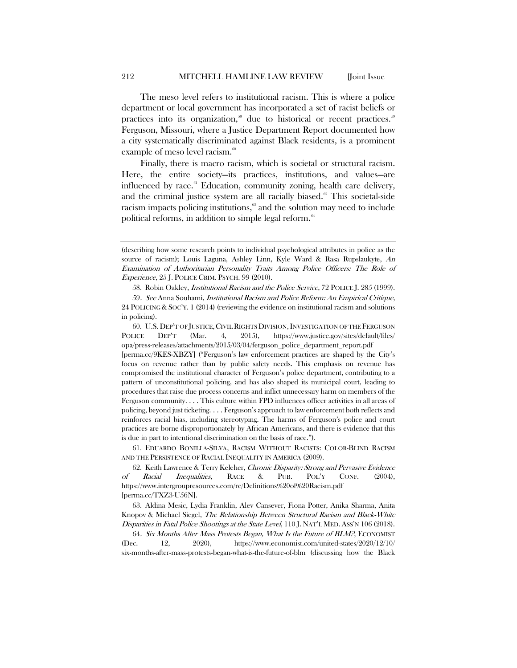The meso level refers to institutional racism. This is where a police department or local government has incorporated a set of racist beliefs or practices into its organization,<sup>[58](#page-10-0)</sup> due to historical or recent practices.<sup>56</sup> Ferguson, Missouri, where a Justice Department Report documented how a city systematically discriminated against Black residents, is a prominent example of meso level racism.<sup>[60](#page-10-2)</sup>

<span id="page-10-7"></span>Finally, there is macro racism, which is societal or structural racism. Here, the entire society—its practices, institutions, and values—are influenced by race.<sup>[61](#page-10-3)</sup> Education, community zoning, health care delivery, and the criminal justice system are all racially biased. $62$  This societal-side racism impacts policing institutions,<sup>[63](#page-10-5)</sup> and the solution may need to include political reforms, in addition to simple legal reform.<sup>[64](#page-10-6)</sup>

58. Robin Oakley, Institutional Racism and the Police Service, 72 POLICE J. 285 (1999).

<span id="page-10-2"></span>60. U.S. DEP'T OF JUSTICE,CIVIL RIGHTS DIVISION,INVESTIGATION OF THE FERGUSON POLICE DEP'T (Mar. 4, 2015), https://www.justice.gov/sites/default/files/ opa/press-releases/attachments/2015/03/04/ferguson\_police\_department\_report.pdf

[perma.cc/9KES-XBZY] ("Ferguson's law enforcement practices are shaped by the City's focus on revenue rather than by public safety needs. This emphasis on revenue has compromised the institutional character of Ferguson's police department, contributing to a pattern of unconstitutional policing, and has also shaped its municipal court, leading to procedures that raise due process concerns and inflict unnecessary harm on members of the Ferguson community. . . . This culture within FPD influences officer activities in all areas of policing, beyond just ticketing. . . . Ferguson's approach to law enforcement both reflects and reinforces racial bias, including stereotyping. The harms of Ferguson's police and court practices are borne disproportionately by African Americans, and there is evidence that this is due in part to intentional discrimination on the basis of race.").

<span id="page-10-3"></span>61. EDUARDO BONILLA-SILVA, RACISM WITHOUT RACISTS: COLOR-BLIND RACISM AND THE PERSISTENCE OF RACIAL INEQUALITY IN AMERICA (2009).

<span id="page-10-4"></span>62. Keith Lawrence & Terry Keleher, Chronic Disparity: Strong and Pervasive Evidence of Racial Inequalities, RACE & PUB. POL'Y CONF. (2004), https://www.intergroupresources.com/rc/Definitions%20of%20Racism.pdf [perma.cc/TXZ3-U56N].

<span id="page-10-5"></span>63. Aldina Mesic, Lydia Franklin, Alev Cansever, Fiona Potter, Anika Sharma, Anita Knopov & Michael Siegel, The Relationship Between Structural Racism and Black-White Disparities in Fatal Police Shootings at the State Level, 110 J. NAT'L MED. ASS'N 106 (2018).

<span id="page-10-6"></span>64. Six Months After Mass Protests Began, What Is the Future of BLM?, ECONOMIST (Dec. 12, 2020), https://www.economist.com/united-states/2020/12/10/ six-months-after-mass-protests-began-what-is-the-future-of-blm (discussing how the Black

<span id="page-10-8"></span><sup>(</sup>describing how some research points to individual psychological attributes in police as the source of racism); Louis Laguna, Ashley Linn, Kyle Ward & Rasa Rupslaukyte, An Examination of Authoritarian Personality Traits Among Police Officers: The Role of Experience, 25 J. POLICE CRIM. PSYCH. 99 (2010).

<span id="page-10-1"></span><span id="page-10-0"></span><sup>59</sup>. See Anna Souhami, Institutional Racism and Police Reform: An Empirical Critique, 24 POLICING & SOC'Y. 1 (2014) (reviewing the evidence on institutional racism and solutions in policing).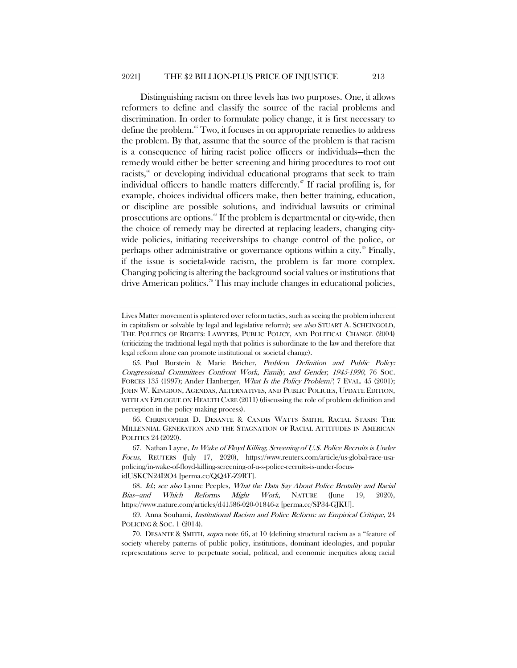<span id="page-11-7"></span><span id="page-11-0"></span>Distinguishing racism on three levels has two purposes. One, it allows reformers to define and classify the source of the racial problems and discrimination. In order to formulate policy change, it is first necessary to define the problem.<sup>[65](#page-11-1)</sup> Two, it focuses in on appropriate remedies to address the problem. By that, assume that the source of the problem is that racism is a consequence of hiring racist police officers or individuals—then the remedy would either be better screening and hiring procedures to root out racists, $\frac{6}{6}$  or developing individual educational programs that seek to train individual officers to handle matters differently. $\mathscr{F}$  If racial profiling is, for example, choices individual officers make, then better training, education, or discipline are possible solutions, and individual lawsuits or criminal prosecutions are options.<sup>88</sup> If the problem is departmental or city-wide, then the choice of remedy may be directed at replacing leaders, changing citywide policies, initiating receiverships to change control of the police, or perhaps other administrative or governance options within a city.<sup>[69](#page-11-5)</sup> Finally, if the issue is societal-wide racism, the problem is far more complex. Changing policing is altering the background social values or institutions that drive American politics.<sup>[70](#page-11-6)</sup> This may include changes in educational policies,

Lives Matter movement is splintered over reform tactics, such as seeing the problem inherent in capitalism or solvable by legal and legislative reform); see also STUART A. SCHEINGOLD, THE POLITICS OF RIGHTS: LAWYERS, PUBLIC POLICY, AND POLITICAL CHANGE (2004) (criticizing the traditional legal myth that politics is subordinate to the law and therefore that legal reform alone can promote institutional or societal change).

<span id="page-11-1"></span><sup>65.</sup> Paul Burstein & Marie Bricher, Problem Definition and Public Policy: Congressional Committees Confront Work, Family, and Gender, 1945-1990, 76 SOC. FORCES 135 (1997); Ander Hanberger, What Is the Policy Problem?, 7 EVAL. 45 (2001); JOHN W. KINGDON, AGENDAS, ALTERNATIVES, AND PUBLIC POLICIES, UPDATE EDITION, WITH AN EPILOGUE ON HEALTH CARE (2011) (discussing the role of problem definition and perception in the policy making process).

<span id="page-11-2"></span><sup>66.</sup> CHRISTOPHER D. DESANTE & CANDIS WATTS SMITH, RACIAL STASIS: THE MILLENNIAL GENERATION AND THE STAGNATION OF RACIAL ATTITUDES IN AMERICAN POLITICS 24 (2020).

<span id="page-11-3"></span><sup>67.</sup> Nathan Layne, In Wake of Floyd Killing, Screening of U.S. Police Recruits is Under Focus, REUTERS (July 17, 2020), https://www.reuters.com/article/us-global-race-usapolicing/in-wake-of-floyd-killing-screening-of-u-s-police-recruits-is-under-focusidUSKCN24I2O4 [perma.cc/QQ4E-Z9RT].

<span id="page-11-4"></span><sup>68</sup>. Id.; see also Lynne Peeples, What the Data Say About Police Brutality and Racial Bias—and Which Reforms Might Work, NATURE (June 19, 2020), https://www.nature.com/articles/d41586-020-01846-z [perma.cc/SP34-GJKU].

<span id="page-11-5"></span><sup>69.</sup> Anna Souhami, Institutional Racism and Police Reform: an Empirical Critique, 24 POLICING & SOC. 1 (2014).

<span id="page-11-6"></span><sup>70.</sup> DESANTE & SMITH, supra note [66,](#page-11-0) at 10 (defining structural racism as a "feature of society whereby patterns of public policy, institutions, dominant ideologies, and popular representations serve to perpetuate social, political, and economic inequities along racial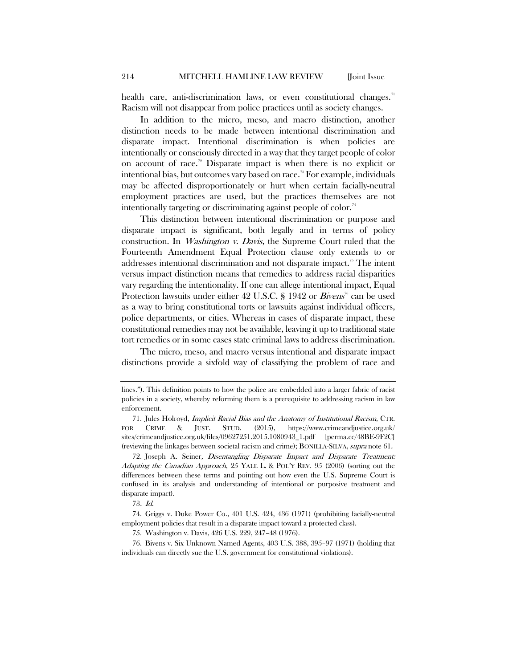health care, anti-discrimination laws, or even constitutional changes.<sup>[71](#page-12-0)</sup> Racism will not disappear from police practices until as society changes.

In addition to the micro, meso, and macro distinction, another distinction needs to be made between intentional discrimination and disparate impact. Intentional discrimination is when policies are intentionally or consciously directed in a way that they target people of color on account of race.[72](#page-12-1) Disparate impact is when there is no explicit or intentional bias, but outcomes vary based on race.[73](#page-12-2) For example, individuals may be affected disproportionately or hurt when certain facially-neutral employment practices are used, but the practices themselves are not intentionally targeting or discriminating against people of color.<sup>[74](#page-12-3)</sup>

This distinction between intentional discrimination or purpose and disparate impact is significant, both legally and in terms of policy construction. In Washington v. Davis, the Supreme Court ruled that the Fourteenth Amendment Equal Protection clause only extends to or addresses intentional discrimination and not disparate impact.<sup>[75](#page-12-4)</sup> The intent versus impact distinction means that remedies to address racial disparities vary regarding the intentionality. If one can allege intentional impact, Equal Protection lawsuits under either 42 U.S.C. § 1942 or *Bivens*<sup> $\sigma$ </sup> can be used as a way to bring constitutional torts or lawsuits against individual officers, police departments, or cities. Whereas in cases of disparate impact, these constitutional remedies may not be available, leaving it up to traditional state tort remedies or in some cases state criminal laws to address discrimination.

The micro, meso, and macro versus intentional and disparate impact distinctions provide a sixfold way of classifying the problem of race and

lines."). This definition points to how the police are embedded into a larger fabric of racist policies in a society, whereby reforming them is a prerequisite to addressing racism in law enforcement.

<span id="page-12-0"></span><sup>71.</sup> Jules Holroyd, Implicit Racial Bias and the Anatomy of Institutional Racism, CTR. FOR CRIME & JUST. STUD. (2015), https://www.crimeandjustice.org.uk/ sites/crimeandjustice.org.uk/files/09627251.2015.1080943\_1.pdf [perma.cc/48BE-9F2C] (reviewing the linkages between societal racism and crime); BONILLA-SILVA, supra note [61](#page-10-7).

<span id="page-12-1"></span><sup>72.</sup> Joseph A. Seiner, Disentangling Disparate Impact and Disparate Treatment: Adapting the Canadian Approach, 25 YALE L. & POL'Y REV. 95 (2006) (sorting out the differences between these terms and pointing out how even the U.S. Supreme Court is confused in its analysis and understanding of intentional or purposive treatment and disparate impact).

<sup>73</sup>. Id.

<span id="page-12-3"></span><span id="page-12-2"></span><sup>74.</sup> Griggs v. Duke Power Co., 401 U.S. 424, 436 (1971) (prohibiting facially-neutral employment policies that result in a disparate impact toward a protected class).

<sup>75.</sup> Washington v. Davis, 426 U.S. 229, 247–48 (1976).

<span id="page-12-5"></span><span id="page-12-4"></span><sup>76.</sup> Bivens v. Six Unknown Named Agents, 403 U.S. 388, 395–97 (1971) (holding that individuals can directly sue the U.S. government for constitutional violations).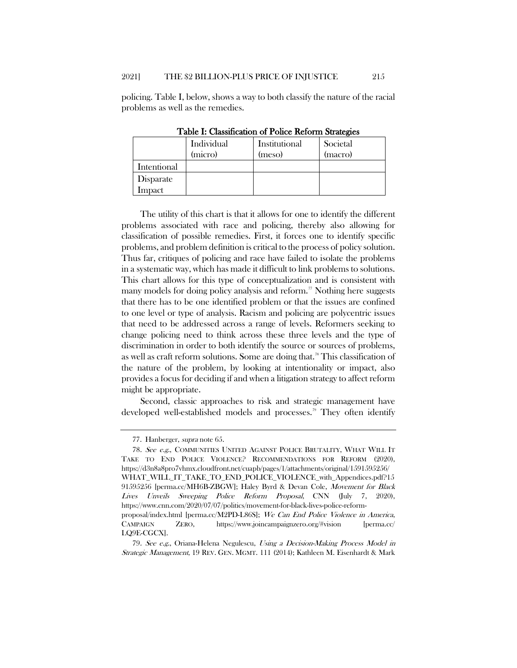policing. Table I, below, shows a way to both classify the nature of the racial problems as well as the remedies.

|             | Individual<br>(micro) | Institutional<br>(meso) | Societal<br>(macro) |
|-------------|-----------------------|-------------------------|---------------------|
| Intentional |                       |                         |                     |
| Disparate   |                       |                         |                     |
| Impact      |                       |                         |                     |

Table I: Classification of Police Reform Strategies

The utility of this chart is that it allows for one to identify the different problems associated with race and policing, thereby also allowing for classification of possible remedies. First, it forces one to identify specific problems, and problem definition is critical to the process of policy solution. Thus far, critiques of policing and race have failed to isolate the problems in a systematic way, which has made it difficult to link problems to solutions. This chart allows for this type of conceptualization and is consistent with many models for doing policy analysis and reform.<sup>[77](#page-13-0)</sup> Nothing here suggests that there has to be one identified problem or that the issues are confined to one level or type of analysis. Racism and policing are polycentric issues that need to be addressed across a range of levels. Reformers seeking to change policing need to think across these three levels and the type of discrimination in order to both identify the source or sources of problems, as well as craft reform solutions. Some are doing that.<sup>[78](#page-13-1)</sup> This classification of the nature of the problem, by looking at intentionality or impact, also provides a focus for deciding if and when a litigation strategy to affect reform might be appropriate.

Second, classic approaches to risk and strategic management have developed well-established models and processes.<sup>[79](#page-13-2)</sup> They often identify

<sup>77.</sup> Hanberger, supra not[e 65.](#page-11-7)

<span id="page-13-1"></span><span id="page-13-0"></span><sup>78</sup>. See e.g., COMMUNITIES UNITED AGAINST POLICE BRUTALITY, WHAT WILL IT TAKE TO END POLICE VIOLENCE? RECOMMENDATIONS FOR REFORM (2020), https://d3n8a8pro7vhmx.cloudfront.net/cuapb/pages/1/attachments/original/1591595256/ WHAT\_WILL\_IT\_TAKE\_TO\_END\_POLICE\_VIOLENCE\_with\_Appendices.pdf?15 91595256 [perma.cc/MH6B-ZBGW]; Haley Byrd & Devan Cole, Movement for Black Lives Unveils Sweeping Police Reform Proposal, CNN (July 7, 2020), https://www.cnn.com/2020/07/07/politics/movement-for-black-lives-police-reformproposal/index.html [perma.cc/M2PD-L86S]; We Can End Police Violence in America,

CAMPAIGN ZERO, https://www.joincampaignzero.org/#vision [perma.cc/ LQ9E-CGCX].

<span id="page-13-2"></span><sup>79</sup>. See e.g., Oriana-Helena Negulescu, Using a Decision-Making Process Model in Strategic Management, 19 REV. GEN. MGMT. 111 (2014); Kathleen M. Eisenhardt & Mark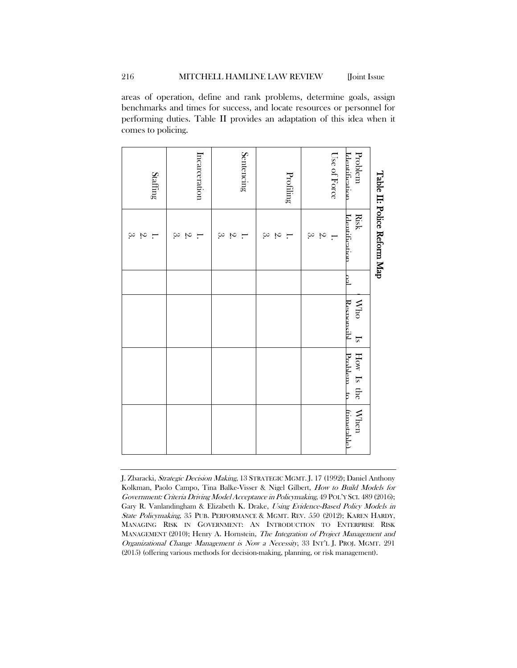areas of operation, define and rank problems, determine goals, assign benchmarks and times for success, and locate resources or personnel for performing duties. Table II provides an adaptation of this idea when it comes to policing.

|                                  | Table II: Police Reform Map                            |   |                          |       |                                  |                          |
|----------------------------------|--------------------------------------------------------|---|--------------------------|-------|----------------------------------|--------------------------|
| <b>Identification</b><br>Problem | <b>Risk</b><br>Identification.                         | S | Responsibl<br><b>Who</b> | $I_s$ | $\rm{Prahlem\_to}$<br>How Is the | When<br><b>limetable</b> |
| Use of Force                     | $\ddot{\circ}$<br>$\ddot{\mathcal{S}}$<br>$\mathbf{H}$ |   |                          |       |                                  |                          |
| Profiling                        | $\infty$<br>$\mathfrak{A}.$<br>$\mathbf{I}$            |   |                          |       |                                  |                          |
| Sentencing                       | $\alpha$ $\alpha$<br>$\overline{\phantom{0}}$          |   |                          |       |                                  |                          |
| Incarceration                    | $\approx$<br>$\ddot{\sim}$<br>$\mathbf{H}$             |   |                          |       |                                  |                          |
| Staffing                         | $\infty$<br>$\sim$                                     |   |                          |       |                                  |                          |

J. Zbaracki, Strategic Decision Making, 13 STRATEGIC MGMT. J. 17 (1992); Daniel Anthony Kolkman, Paolo Campo, Tina Balke-Visser & Nigel Gilbert, How to Build Models for Government: Criteria Driving Model Acceptance in Policymaking, 49 POL'Y SCI. 489 (2016); Gary R. Vanlandingham & Elizabeth K. Drake, Using Evidence-Based Policy Models in State Policymaking, 35 PUB. PERFORMANCE & MGMT. REV. 550 (2012); KAREN HARDY, MANAGING RISK IN GOVERNMENT: AN INTRODUCTION TO ENTERPRISE RISK MANAGEMENT (2010); Henry A. Hornstein, The Integration of Project Management and Organizational Change Management is Now a Necessity, 33 INT'L J. PROJ. MGMT. 291 (2015) (offering various methods for decision-making, planning, or risk management).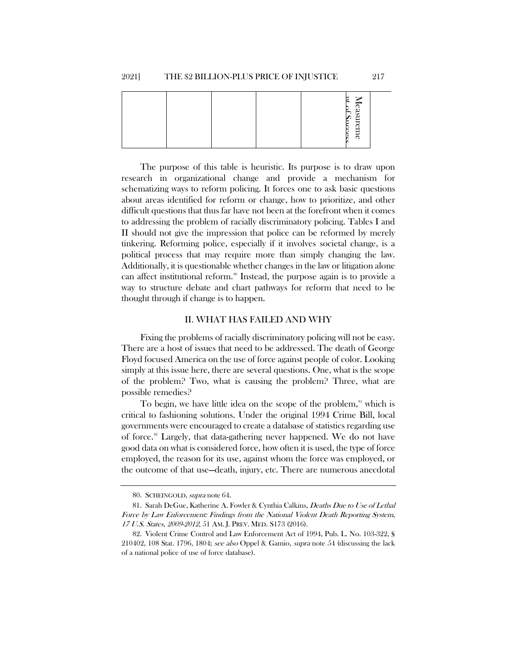|  |  | Ħ,<br>$\mathsf{P}$                    |  |
|--|--|---------------------------------------|--|
|  |  | Measureme<br>$S_{\rm HC}$<br>Сes<br>ь |  |

The purpose of this table is heuristic. Its purpose is to draw upon research in organizational change and provide a mechanism for schematizing ways to reform policing. It forces one to ask basic questions about areas identified for reform or change, how to prioritize, and other difficult questions that thus far have not been at the forefront when it comes to addressing the problem of racially discriminatory policing. Tables I and II should not give the impression that police can be reformed by merely tinkering. Reforming police, especially if it involves societal change, is a political process that may require more than simply changing the law. Additionally, it is questionable whether changes in the law or litigation alone can affect institutional reform.<sup>[80](#page-15-0)</sup> Instead, the purpose again is to provide a way to structure debate and chart pathways for reform that need to be thought through if change is to happen.

#### II. WHAT HAS FAILED AND WHY

Fixing the problems of racially discriminatory policing will not be easy. There are a host of issues that need to be addressed. The death of George Floyd focused America on the use of force against people of color. Looking simply at this issue here, there are several questions. One, what is the scope of the problem? Two, what is causing the problem? Three, what are possible remedies?

To begin, we have little idea on the scope of the problem,<sup>[81](#page-15-1)</sup> which is critical to fashioning solutions. Under the original 1994 Crime Bill, local governments were encouraged to create a database of statistics regarding use of force.<sup>[82](#page-15-2)</sup> Largely, that data-gathering never happened. We do not have good data on what is considered force, how often it is used, the type of force employed, the reason for its use, against whom the force was employed, or the outcome of that use—death, injury, etc. There are numerous anecdotal

<sup>80.</sup> SCHEINGOLD, supra note [64.](#page-10-8)

<span id="page-15-1"></span><span id="page-15-0"></span><sup>81.</sup> Sarah DeGue, Katherine A. Fowler & Cynthia Calkins, Deaths Due to Use of Lethal Force by Law Enforcement: Findings from the National Violent Death Reporting System, 17 U.S. States, 2009-2012, 51 AM. J. PREV. MED. S173 (2016).

<span id="page-15-2"></span><sup>82.</sup> Violent Crime Control and Law Enforcement Act of 1994, Pub. L. No. 103-322, § 210402, 108 Stat. 1796, 1804; see also Oppel & Gamio, supra note [54](#page-9-4) (discussing the lack of a national police of use of force database).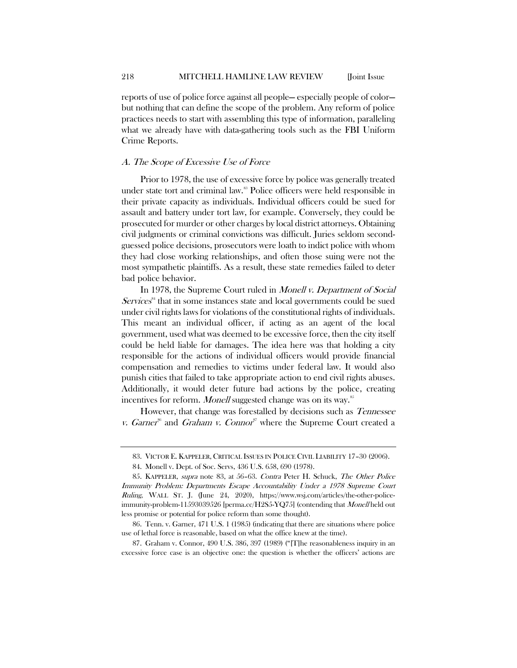reports of use of police force against all people— especially people of color but nothing that can define the scope of the problem. Any reform of police practices needs to start with assembling this type of information, paralleling what we already have with data-gathering tools such as the FBI Uniform Crime Reports.

# A. The Scope of Excessive Use of Force

<span id="page-16-0"></span>Prior to 1978, the use of excessive force by police was generally treated under state tort and criminal law.<sup>[83](#page-16-1)</sup> Police officers were held responsible in their private capacity as individuals. Individual officers could be sued for assault and battery under tort law, for example. Conversely, they could be prosecuted for murder or other charges by local district attorneys. Obtaining civil judgments or criminal convictions was difficult. Juries seldom secondguessed police decisions, prosecutors were loath to indict police with whom they had close working relationships, and often those suing were not the most sympathetic plaintiffs. As a result, these state remedies failed to deter bad police behavior.

In 1978, the Supreme Court ruled in *Monell v. Department of Social*  $Services<sup>84</sup>$  $Services<sup>84</sup>$  $Services<sup>84</sup>$  that in some instances state and local governments could be sued under civil rights laws for violations of the constitutional rights of individuals. This meant an individual officer, if acting as an agent of the local government, used what was deemed to be excessive force, then the city itself could be held liable for damages. The idea here was that holding a city responsible for the actions of individual officers would provide financial compensation and remedies to victims under federal law. It would also punish cities that failed to take appropriate action to end civil rights abuses. Additionally, it would deter future bad actions by the police, creating incentives for reform. Monell suggested change was on its way.<sup>[85](#page-16-3)</sup>

However, that change was forestalled by decisions such as Tennessee v. Garner<sup>[86](#page-16-4)</sup> and Graham v. Connor<sup>[87](#page-16-5)</sup> where the Supreme Court created a

<span id="page-16-5"></span>87. Graham v. Connor, 490 U.S. 386, 397 (1989) ("[T]he reasonableness inquiry in an excessive force case is an objective one: the question is whether the officers' actions are

<sup>83.</sup> VICTOR E. KAPPELER, CRITICAL ISSUES IN POLICE CIVIL LIABILITY 17–30 (2006).

<sup>84.</sup> Monell v. Dept. of Soc. Servs, 436 U.S. 658, 690 (1978).

<span id="page-16-3"></span><span id="page-16-2"></span><span id="page-16-1"></span><sup>85.</sup> KAPPELER, supra note [83,](#page-16-0) at 56–63. Contra Peter H. Schuck, The Other Police Immunity Problem: Departments Escape Accountability Under a 1978 Supreme Court Ruling, WALL ST. J. (June 24, 2020), https://www.wsj.com/articles/the-other-policeimmunity-problem-11593039526 [perma.cc/H2S5-YQ75] (contending that *Monell* held out less promise or potential for police reform than some thought).

<span id="page-16-4"></span><sup>86.</sup> Tenn. v. Garner, 471 U.S. 1 (1985) (indicating that there are situations where police use of lethal force is reasonable, based on what the office knew at the time).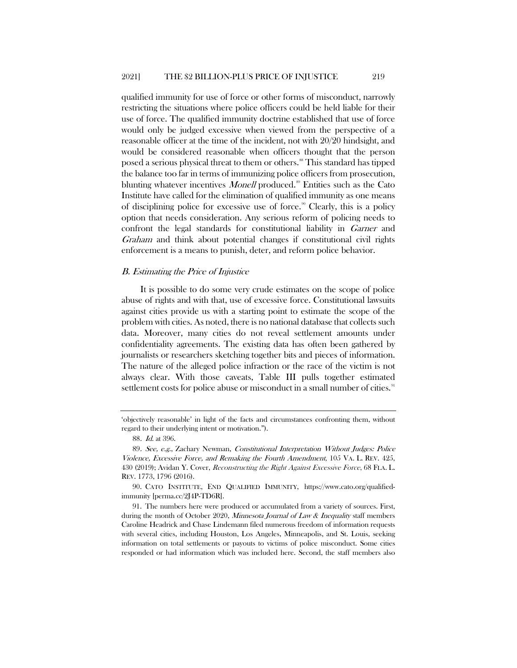qualified immunity for use of force or other forms of misconduct, narrowly restricting the situations where police officers could be held liable for their use of force. The qualified immunity doctrine established that use of force would only be judged excessive when viewed from the perspective of a reasonable officer at the time of the incident, not with 20/20 hindsight, and would be considered reasonable when officers thought that the person posed a serious physical threat to them or others. [88](#page-17-0) This standard has tipped the balance too far in terms of immunizing police officers from prosecution, blunting whatever incentives *Monell* produced.<sup>[89](#page-17-1)</sup> Entities such as the Cato Institute have called for the elimination of qualified immunity as one means of disciplining police for excessive use of force.<sup>[90](#page-17-2)</sup> Clearly, this is a policy option that needs consideration. Any serious reform of policing needs to confront the legal standards for constitutional liability in Garner and Graham and think about potential changes if constitutional civil rights enforcement is a means to punish, deter, and reform police behavior.

#### B. Estimating the Price of Injustice

It is possible to do some very crude estimates on the scope of police abuse of rights and with that, use of excessive force. Constitutional lawsuits against cities provide us with a starting point to estimate the scope of the problem with cities. As noted, there is no national database that collects such data. Moreover, many cities do not reveal settlement amounts under confidentiality agreements. The existing data has often been gathered by journalists or researchers sketching together bits and pieces of information. The nature of the alleged police infraction or the race of the victim is not always clear. With those caveats, Table III pulls together estimated settlement costs for police abuse or misconduct in a small number of cities.<sup>9</sup>

<sup>&#</sup>x27;objectively reasonable' in light of the facts and circumstances confronting them, without regard to their underlying intent or motivation.").

<span id="page-17-4"></span><sup>88</sup>. Id. at 396.

<span id="page-17-1"></span><span id="page-17-0"></span><sup>89</sup>. See, e.g., Zachary Newman, Constitutional Interpretation Without Judges: Police Violence, Excessive Force, and Remaking the Fourth Amendment, 105 VA. L. REV. 425, 430 (2019); Avidan Y. Cover, Reconstructing the Right Against Excessive Force, 68 FLA. L. REV. 1773, 1796 (2016).

<span id="page-17-2"></span><sup>90.</sup> CATO INSTITUTE, END QUALIFIED IMMUNITY, https://www.cato.org/qualifiedimmunity [perma.cc/2J4P-TD6R].

<span id="page-17-3"></span><sup>91.</sup> The numbers here were produced or accumulated from a variety of sources. First, during the month of October 2020, *Minnesota Journal of Law & Inequality* staff members Caroline Headrick and Chase Lindemann filed numerous freedom of information requests with several cities, including Houston, Los Angeles, Minneapolis, and St. Louis, seeking information on total settlements or payouts to victims of police misconduct. Some cities responded or had information which was included here. Second, the staff members also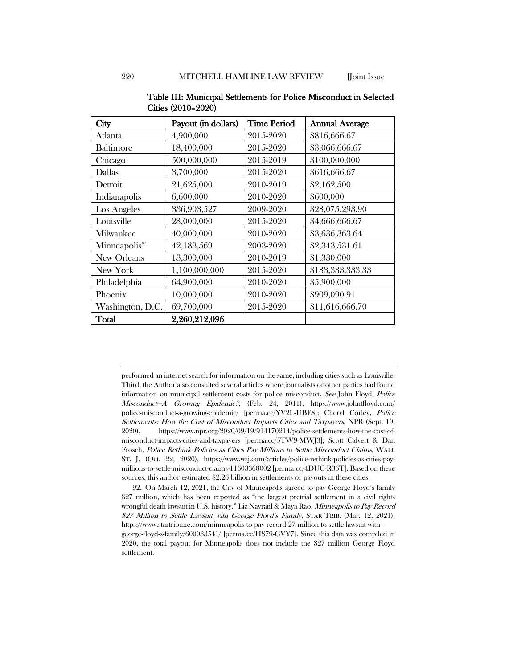| City                      | Payout (in dollars) | <b>Time Period</b> | <b>Annual Average</b> |
|---------------------------|---------------------|--------------------|-----------------------|
| Atlanta                   | 4,900,000           | 2015-2020          | \$816,666.67          |
| Baltimore                 | 18,400,000          | 2015-2020          | \$3,066,666.67        |
| Chicago                   | 500,000,000         | 2015-2019          | \$100,000,000         |
| Dallas                    | 3,700,000           | 2015-2020          | \$616,666.67          |
| Detroit                   | 21,625,000          | 2010-2019          | \$2,162,500           |
| Indianapolis              | 6,600,000           | 2010-2020          | \$600,000             |
| Los Angeles               | 336,903,527         | 2009-2020          | \$28,075,293.90       |
| Louisville                | 28,000,000          | 2015-2020          | \$4,666,666.67        |
| Milwaukee                 | 40,000,000          | 2010-2020          | \$3,636,363.64        |
| Minneapolis <sup>92</sup> | 42,183,569          | 2003-2020          | \$2,343,531.61        |
| New Orleans               | 13,300,000          | 2010-2019          | \$1,330,000           |
| New York                  | 1,100,000,000       | 2015-2020          | \$183,333,333.33      |
| Philadelphia              | 64,900,000          | 2010-2020          | \$5,900,000           |
| Phoenix                   | 10,000,000          | 2010-2020          | \$909,090.91          |
| Washington, D.C.          | 69,700,000          | 2015-2020          | \$11,616,666.70       |
| Total                     | 2,260,212,096       |                    |                       |

Table III: Municipal Settlements for Police Misconduct in Selected Cities (2010–2020)

performed an internet search for information on the same, including cities such as Louisville. Third, the Author also consulted several articles where journalists or other parties had found information on municipal settlement costs for police misconduct. See John Floyd, Police Misconduct—A Growing Epidemic?, (Feb. 24, 2011), https://www.johntfloyd.com/ police-misconduct-a-growing-epidemic/ [perma.cc/YV2L-UBFS]; Cheryl Corley, Police Settlements: How the Cost of Misconduct Impacts Cities and Taxpayers, NPR (Sept. 19, 2020), https://www.npr.org/2020/09/19/914170214/police-settlements-how-the-cost-ofmisconduct-impacts-cities-and-taxpayers [perma.cc/5TW9-MWJ3]; Scott Calvert & Dan Frosch, Police Rethink Policies as Cities Pay Millions to Settle Misconduct Claims, WALL ST. J. (Oct. 22, 2020), https://www.wsj.com/articles/police-rethink-policies-as-cities-paymillions-to-settle-misconduct-claims-11603368002 [perma.cc/4DUC-R36T]. Based on these sources, this author estimated \$2.26 billion in settlements or payouts in these cities.

<span id="page-18-0"></span><sup>92.</sup> On March 12, 2021, the City of Minneapolis agreed to pay George Floyd's family \$27 million, which has been reported as "the largest pretrial settlement in a civil rights wrongful death lawsuit in U.S. history." Liz Navratil & Maya Rao, Minneapolis to Pay Record \$27 Million to Settle Lawsuit with George Floyd's Family, STAR TRIB. (Mar. 12, 2021), https://www.startribune.com/minneapolis-to-pay-record-27-million-to-settle-lawsuit-withgeorge-floyd-s-family/600033541/ [perma.cc/HS79-GVY7]. Since this data was compiled in 2020, the total payout for Minneapolis does not include the \$27 million George Floyd settlement.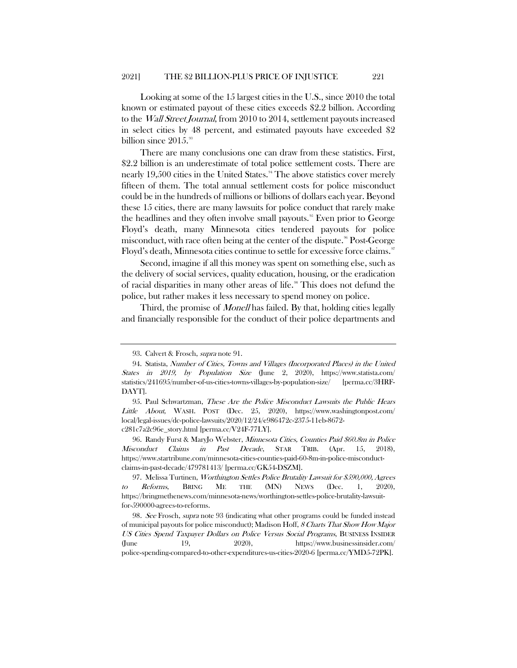Looking at some of the 15 largest cities in the U.S., since 2010 the total known or estimated payout of these cities exceeds \$2.2 billion. According to the *Wall Street Journal*, from 2010 to 2014, settlement payouts increased in select cities by 48 percent, and estimated payouts have exceeded \$2 billion since  $2015$ .<sup>[93](#page-19-1)</sup>

<span id="page-19-0"></span>There are many conclusions one can draw from these statistics. First, \$2.2 billion is an underestimate of total police settlement costs. There are nearly 19,500 cities in the United States. $4$ <sup>4</sup> The above statistics cover merely fifteen of them. The total annual settlement costs for police misconduct could be in the hundreds of millions or billions of dollars each year. Beyond these 15 cities, there are many lawsuits for police conduct that rarely make the headlines and they often involve small payouts.<sup>55</sup> Even prior to George Floyd's death, many Minnesota cities tendered payouts for police misconduct, with race often being at the center of the dispute.<sup>86</sup> Post-George Floyd's death, Minnesota cities continue to settle for excessive force claims.

Second, imagine if all this money was spent on something else, such as the delivery of social services, quality education, housing, or the eradication of racial disparities in many other areas of life.<sup>88</sup> This does not defund the police, but rather makes it less necessary to spend money on police.

Third, the promise of *Monell* has failed. By that, holding cities legally and financially responsible for the conduct of their police departments and

<span id="page-19-4"></span>96. Randy Furst & MaryJo Webster, Minnesota Cities, Counties Paid \$60.8m in Police Misconduct Claims in Past Decade, STAR TRIB. (Apr. 15, 2018), https://www.startribune.com/minnesota-cities-counties-paid-60-8m-in-police-misconductclaims-in-past-decade/479781413/ [perma.cc/GK54-DSZM].

<sup>93.</sup> Calvert & Frosch, supra not[e 91.](#page-17-4)

<span id="page-19-2"></span><span id="page-19-1"></span><sup>94.</sup> Statista, Number of Cities, Towns and Villages (Incorporated Places) in the United States in 2019, by Population Size (June 2, 2020), https://www.statista.com/ statistics/241695/number-of-us-cities-towns-villages-by-population-size/ [perma.cc/3HRF-DAYT].

<span id="page-19-3"></span><sup>95.</sup> Paul Schwartzman, These Are the Police Misconduct Lawsuits the Public Hears Little About, WASH. POST (Dec. 25, 2020), https://www.washingtonpost.com/ local/legal-issues/dc-police-lawsuits/2020/12/24/e986472c-2375-11eb-8672 c281c7a2c96e\_story.html [perma.cc/V24F-77LY].

<span id="page-19-5"></span><sup>97.</sup> Melissa Turtinen, Worthington Settles Police Brutality Lawsuit for \$590,000, Agrees to Reforms, BRING ME THE (MN) NEWS (Dec. 1, 2020), https://bringmethenews.com/minnesota-news/worthington-settles-police-brutality-lawsuitfor-590000-agrees-to-reforms.

<span id="page-19-6"></span><sup>98.</sup> See Frosch, supra note [93](#page-19-0) (indicating what other programs could be funded instead of municipal payouts for police misconduct); Madison Hoff, 8 Charts That Show How Major US Cities Spend Taxpayer Dollars on Police Versus Social Programs, BUSINESS INSIDER (June 19, 2020), https://www.businessinsider.com/ police-spending-compared-to-other-expenditures-us-cities-2020-6 [perma.cc/YMD5-72PK].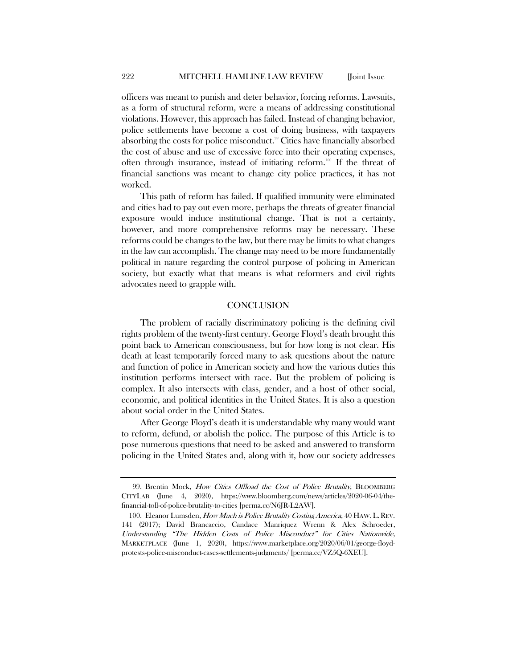officers was meant to punish and deter behavior, forcing reforms. Lawsuits, as a form of structural reform, were a means of addressing constitutional violations. However, this approach has failed. Instead of changing behavior, police settlements have become a cost of doing business, with taxpayers absorbing the costs for police misconduct.<sup>[99](#page-20-0)</sup> Cities have financially absorbed the cost of abuse and use of excessive force into their operating expenses, often through insurance, instead of initiating reform.<sup>[100](#page-20-1)</sup> If the threat of financial sanctions was meant to change city police practices, it has not worked.

This path of reform has failed. If qualified immunity were eliminated and cities had to pay out even more, perhaps the threats of greater financial exposure would induce institutional change. That is not a certainty, however, and more comprehensive reforms may be necessary. These reforms could be changes to the law, but there may be limits to what changes in the law can accomplish. The change may need to be more fundamentally political in nature regarding the control purpose of policing in American society, but exactly what that means is what reformers and civil rights advocates need to grapple with.

#### **CONCLUSION**

The problem of racially discriminatory policing is the defining civil rights problem of the twenty-first century. George Floyd's death brought this point back to American consciousness, but for how long is not clear. His death at least temporarily forced many to ask questions about the nature and function of police in American society and how the various duties this institution performs intersect with race. But the problem of policing is complex. It also intersects with class, gender, and a host of other social, economic, and political identities in the United States. It is also a question about social order in the United States.

After George Floyd's death it is understandable why many would want to reform, defund, or abolish the police. The purpose of this Article is to pose numerous questions that need to be asked and answered to transform policing in the United States and, along with it, how our society addresses

<span id="page-20-0"></span><sup>99.</sup> Brentin Mock, How Cities Offload the Cost of Police Brutality, BLOOMBERG CITYLAB (June 4, 2020), https://www.bloomberg.com/news/articles/2020-06-04/thefinancial-toll-of-police-brutality-to-cities [perma.cc/N6JR-L2AW].

<span id="page-20-1"></span><sup>100.</sup> Eleanor Lumsden, How Much is Police Brutality Costing America, 40 HAW. L. REV. 141 (2017); David Brancaccio, Candace Manriquez Wrenn & Alex Schroeder, Understanding "The Hidden Costs of Police Misconduct" for Cities Nationwide, MARKETPLACE (June 1, 2020), https://www.marketplace.org/2020/06/01/george-floydprotests-police-misconduct-cases-settlements-judgments/ [perma.cc/VZ5Q-6XEU].